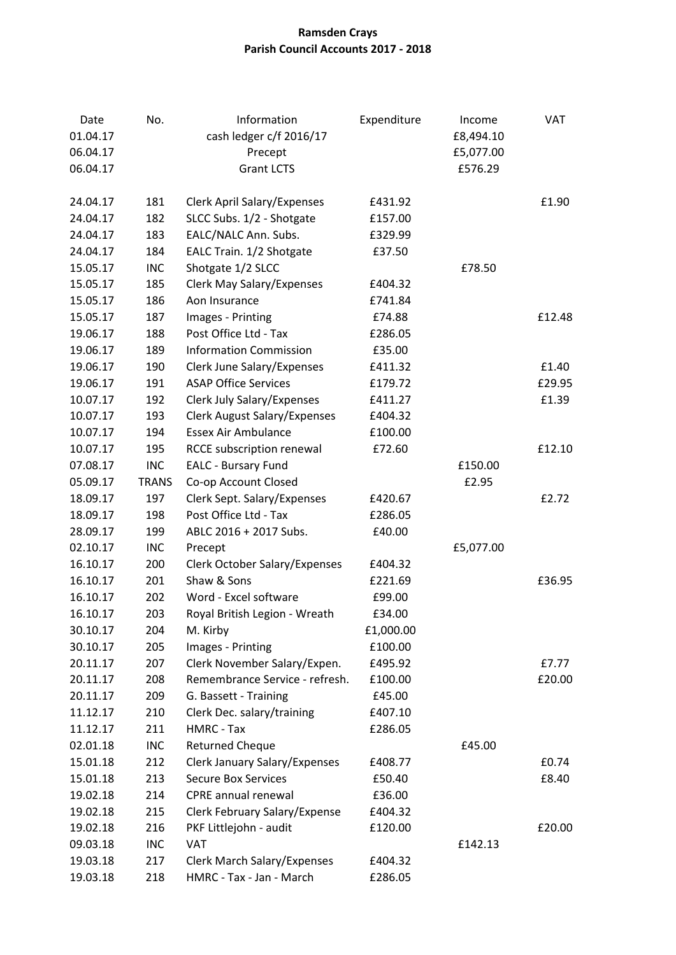## **Ramsden Crays Parish Council Accounts 2017 - 2018**

| Date<br>01.04.17 | No.          | Information<br>cash ledger c/f 2016/17 | Expenditure | Income<br>£8,494.10 | <b>VAT</b> |
|------------------|--------------|----------------------------------------|-------------|---------------------|------------|
| 06.04.17         |              | Precept                                |             | £5,077.00           |            |
| 06.04.17         |              | <b>Grant LCTS</b>                      |             | £576.29             |            |
| 24.04.17         | 181          | Clerk April Salary/Expenses            | £431.92     |                     | £1.90      |
| 24.04.17         | 182          | SLCC Subs. 1/2 - Shotgate              | £157.00     |                     |            |
| 24.04.17         | 183          | EALC/NALC Ann. Subs.                   | £329.99     |                     |            |
| 24.04.17         | 184          | EALC Train. 1/2 Shotgate               | £37.50      |                     |            |
| 15.05.17         | <b>INC</b>   | Shotgate 1/2 SLCC                      |             | £78.50              |            |
| 15.05.17         | 185          | <b>Clerk May Salary/Expenses</b>       | £404.32     |                     |            |
| 15.05.17         | 186          | Aon Insurance                          | £741.84     |                     |            |
| 15.05.17         | 187          | Images - Printing                      | £74.88      |                     | £12.48     |
| 19.06.17         | 188          | Post Office Ltd - Tax                  | £286.05     |                     |            |
| 19.06.17         | 189          | <b>Information Commission</b>          | £35.00      |                     |            |
| 19.06.17         | 190          | Clerk June Salary/Expenses             | £411.32     |                     | £1.40      |
| 19.06.17         | 191          | <b>ASAP Office Services</b>            | £179.72     |                     | £29.95     |
| 10.07.17         | 192          | Clerk July Salary/Expenses             | £411.27     |                     | £1.39      |
| 10.07.17         | 193          | <b>Clerk August Salary/Expenses</b>    | £404.32     |                     |            |
| 10.07.17         | 194          | <b>Essex Air Ambulance</b>             | £100.00     |                     |            |
| 10.07.17         | 195          | RCCE subscription renewal              | £72.60      |                     | £12.10     |
| 07.08.17         | <b>INC</b>   | <b>EALC - Bursary Fund</b>             |             | £150.00             |            |
| 05.09.17         | <b>TRANS</b> | Co-op Account Closed                   |             | £2.95               |            |
| 18.09.17         | 197          | Clerk Sept. Salary/Expenses            | £420.67     |                     | £2.72      |
| 18.09.17         | 198          | Post Office Ltd - Tax                  | £286.05     |                     |            |
| 28.09.17         | 199          | ABLC 2016 + 2017 Subs.                 | £40.00      |                     |            |
| 02.10.17         | <b>INC</b>   | Precept                                |             | £5,077.00           |            |
| 16.10.17         | 200          | <b>Clerk October Salary/Expenses</b>   | £404.32     |                     |            |
| 16.10.17         | 201          | Shaw & Sons                            | £221.69     |                     | £36.95     |
| 16.10.17         | 202          | Word - Excel software                  | £99.00      |                     |            |
| 16.10.17         | 203          | Royal British Legion - Wreath          | £34.00      |                     |            |
| 30.10.17         | 204          | M. Kirby                               | £1,000.00   |                     |            |
| 30.10.17         | 205          | Images - Printing                      | £100.00     |                     |            |
| 20.11.17         | 207          | Clerk November Salary/Expen.           | £495.92     |                     | £7.77      |
| 20.11.17         | 208          | Remembrance Service - refresh.         | £100.00     |                     | £20.00     |
| 20.11.17         | 209          | G. Bassett - Training                  | £45.00      |                     |            |
| 11.12.17         | 210          | Clerk Dec. salary/training             | £407.10     |                     |            |
| 11.12.17         | 211          | HMRC - Tax                             | £286.05     |                     |            |
| 02.01.18         | <b>INC</b>   | <b>Returned Cheque</b>                 |             | £45.00              |            |
| 15.01.18         | 212          | <b>Clerk January Salary/Expenses</b>   | £408.77     |                     | £0.74      |
| 15.01.18         | 213          | <b>Secure Box Services</b>             | £50.40      |                     | £8.40      |
| 19.02.18         | 214          | CPRE annual renewal                    | £36.00      |                     |            |
| 19.02.18         | 215          | Clerk February Salary/Expense          | £404.32     |                     |            |
| 19.02.18         | 216          | PKF Littlejohn - audit                 | £120.00     |                     | £20.00     |
| 09.03.18         | <b>INC</b>   | <b>VAT</b>                             |             | £142.13             |            |
| 19.03.18         | 217          | <b>Clerk March Salary/Expenses</b>     | £404.32     |                     |            |
| 19.03.18         | 218          | HMRC - Tax - Jan - March               | £286.05     |                     |            |